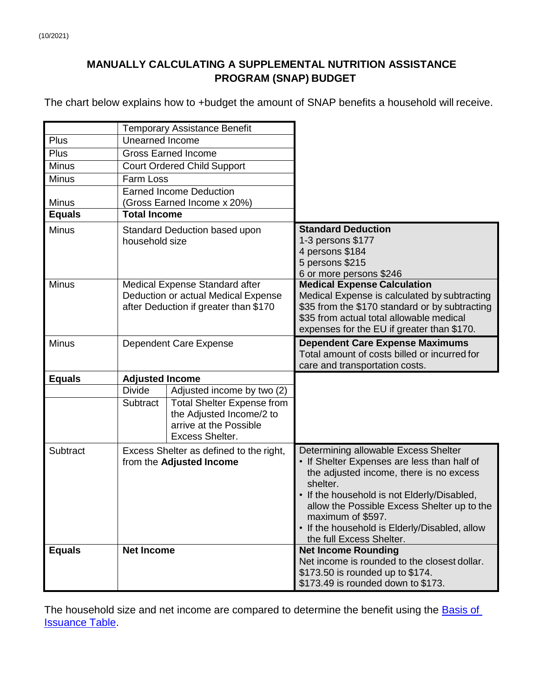## **MANUALLY CALCULATING A SUPPLEMENTAL NUTRITION ASSISTANCE PROGRAM (SNAP) BUDGET**

The chart below explains how to +budget the amount of SNAP benefits a household will receive.

|               | <b>Temporary Assistance Benefit</b> |                                         |                                                                        |  |
|---------------|-------------------------------------|-----------------------------------------|------------------------------------------------------------------------|--|
| Plus          | <b>Unearned Income</b>              |                                         |                                                                        |  |
| Plus          |                                     | <b>Gross Earned Income</b>              |                                                                        |  |
| <b>Minus</b>  |                                     | <b>Court Ordered Child Support</b>      |                                                                        |  |
| <b>Minus</b>  | Farm Loss                           |                                         |                                                                        |  |
|               |                                     | <b>Earned Income Deduction</b>          |                                                                        |  |
| <b>Minus</b>  |                                     | (Gross Earned Income x 20%)             |                                                                        |  |
| <b>Equals</b> | <b>Total Income</b>                 |                                         |                                                                        |  |
| <b>Minus</b>  | Standard Deduction based upon       |                                         | <b>Standard Deduction</b>                                              |  |
|               | household size                      |                                         | 1-3 persons \$177                                                      |  |
|               |                                     |                                         | 4 persons \$184                                                        |  |
|               |                                     |                                         | 5 persons \$215                                                        |  |
| <b>Minus</b>  |                                     | Medical Expense Standard after          | 6 or more persons \$246<br><b>Medical Expense Calculation</b>          |  |
|               |                                     | Deduction or actual Medical Expense     | Medical Expense is calculated by subtracting                           |  |
|               |                                     | after Deduction if greater than \$170   | \$35 from the \$170 standard or by subtracting                         |  |
|               |                                     |                                         | \$35 from actual total allowable medical                               |  |
|               |                                     |                                         | expenses for the EU if greater than \$170.                             |  |
| <b>Minus</b>  | Dependent Care Expense              |                                         | <b>Dependent Care Expense Maximums</b>                                 |  |
|               |                                     |                                         | Total amount of costs billed or incurred for                           |  |
|               |                                     |                                         | care and transportation costs.                                         |  |
|               | <b>Adjusted Income</b>              |                                         |                                                                        |  |
| <b>Equals</b> |                                     |                                         |                                                                        |  |
|               | <b>Divide</b>                       | Adjusted income by two (2)              |                                                                        |  |
|               | Subtract                            | <b>Total Shelter Expense from</b>       |                                                                        |  |
|               |                                     | the Adjusted Income/2 to                |                                                                        |  |
|               |                                     | arrive at the Possible                  |                                                                        |  |
|               |                                     | <b>Excess Shelter.</b>                  |                                                                        |  |
| Subtract      |                                     | Excess Shelter as defined to the right, | Determining allowable Excess Shelter                                   |  |
|               |                                     | from the Adjusted Income                | • If Shelter Expenses are less than half of                            |  |
|               |                                     |                                         | the adjusted income, there is no excess                                |  |
|               |                                     |                                         | shelter.                                                               |  |
|               |                                     |                                         | • If the household is not Elderly/Disabled,                            |  |
|               |                                     |                                         | allow the Possible Excess Shelter up to the                            |  |
|               |                                     |                                         | maximum of \$597.<br>• If the household is Elderly/Disabled, allow     |  |
|               |                                     |                                         | the full Excess Shelter.                                               |  |
| <b>Equals</b> | <b>Net Income</b>                   |                                         | <b>Net Income Rounding</b>                                             |  |
|               |                                     |                                         | Net income is rounded to the closest dollar.                           |  |
|               |                                     |                                         | \$173.50 is rounded up to \$174.<br>\$173.49 is rounded down to \$173. |  |

The household size and net income are compared to determine the benefit using the **Basis of [Issuance Table.](https://mydss.mo.gov/b_iss)**